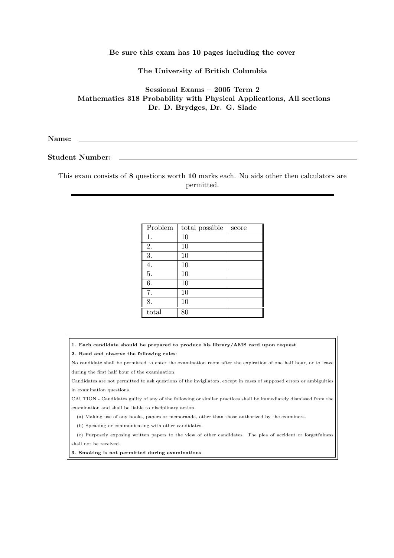## Be sure this exam has 10 pages including the cover

The University of British Columbia

Sessional Exams – 2005 Term 2 Mathematics 318 Probability with Physical Applications, All sections Dr. D. Brydges, Dr. G. Slade

Name:

Student Number:

This exam consists of 8 questions worth 10 marks each. No aids other then calculators are permitted.

| Problem | total possible | score |
|---------|----------------|-------|
| 1.      | 10             |       |
| 2.      | 10             |       |
| 3.      | 10             |       |
| 4.      | 10             |       |
| 5.      | 10             |       |
| 6.      | 10             |       |
| 7.      | 10             |       |
| 8.      | 10             |       |
| total   | 80             |       |

- 1. Each candidate should be prepared to produce his library/AMS card upon request.
- 2. Read and observe the following rules:

No candidate shall be permitted to enter the examination room after the expiration of one half hour, or to leave during the first half hour of the examination.

Candidates are not permitted to ask questions of the invigilators, except in cases of supposed errors or ambiguities in examination questions.

CAUTION - Candidates guilty of any of the following or similar practices shall be immediately dismissed from the examination and shall be liable to disciplinary action.

(a) Making use of any books, papers or memoranda, other than those authorized by the examiners.

(b) Speaking or communicating with other candidates.

(c) Purposely exposing written papers to the view of other candidates. The plea of accident or forgetfulness shall not be received.

3. Smoking is not permitted during examinations.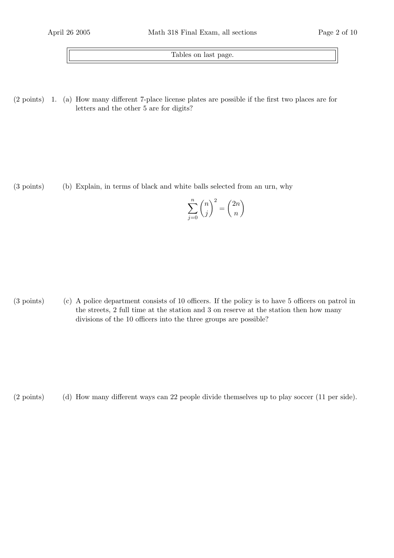Tables on last page.

 $(2 \text{ points})$  1. (a) How many different 7-place license plates are possible if the first two places are for letters and the other 5 are for digits?

(b)(3 points) Explain, in terms of black and white balls selected from an urn, why

$$
\sum_{j=0}^{n} \binom{n}{j}^2 = \binom{2n}{n}
$$

 $(3 \text{ points})$  (c) A police department consists of 10 officers. If the policy is to have 5 officers on patrol in the streets, 2 full time at the station and 3 on reserve at the station then how many divisions of the 10 officers into the three groups are possible?

(d)(2 points) How many different ways can 22 people divide themselves up to play soccer (11 per side).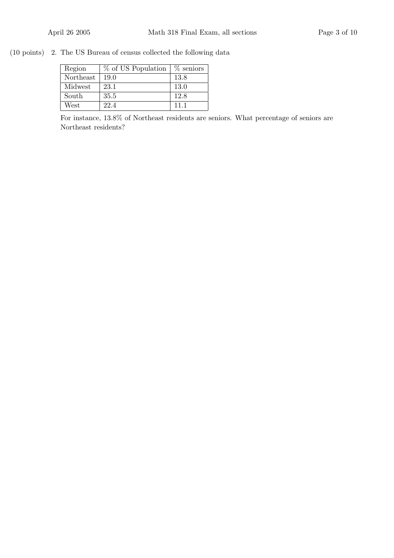$(10 \text{ points})$  2. The US Bureau of census collected the following data

| Region    | % of US Population | $%$ seniors |
|-----------|--------------------|-------------|
| Northeast | 19.0               | 13.8        |
| Midwest   | 23.1               | 13.0        |
| South     | 35.5               | 12.8        |
| West      | 22.4               | 11 1        |

For instance, 13.8% of Northeast residents are seniors. What percentage of seniors are Northeast residents?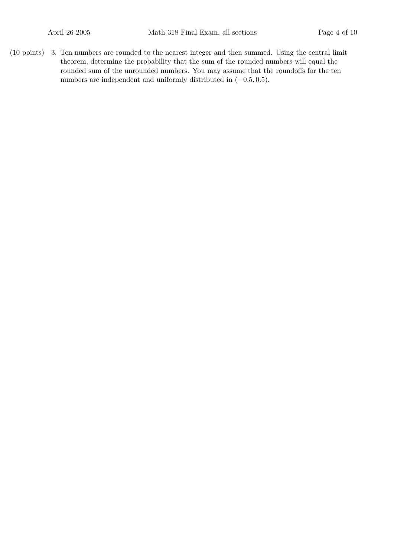$(10 \text{ points})$  3. Ten numbers are rounded to the nearest integer and then summed. Using the central limit theorem, determine the probability that the sum of the rounded numbers will equal the rounded sum of the unrounded numbers. You may assume that the roundoffs for the ten numbers are independent and uniformly distributed in (−0.5, 0.5).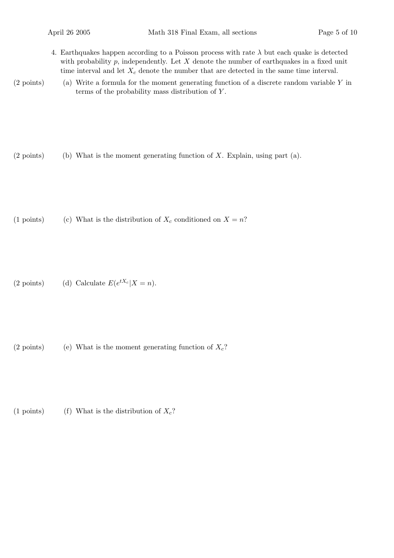- 4. Earthquakes happen according to a Poisson process with rate  $\lambda$  but each quake is detected with probability  $p$ , independently. Let  $X$  denote the number of earthquakes in a fixed unit time interval and let  $X_c$  denote the number that are detected in the same time interval.
- $(2 \text{ points})$  (a) Write a formula for the moment generating function of a discrete random variable Y in terms of the probability mass distribution of  $Y$ .

 $(2 \text{ points})$  (b) What is the moment generating function of X. Explain, using part (a).

(1 points) (c) What is the distribution of  $X_c$  conditioned on  $X = n$ ?

(2 points) (d) Calculate  $E(e^{tX_c}|X = n)$ .

(2 points) (e) What is the moment generating function of  $X_c$ ?

(1 points) (f) What is the distribution of  $X_c$ ?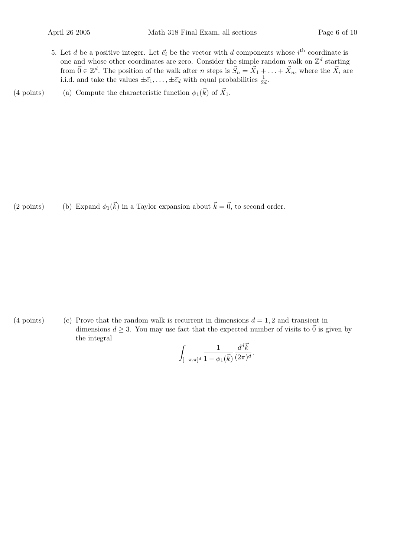- 5. Let d be a positive integer. Let  $\vec{e}_i$  be the vector with d components whose  $i^{\text{th}}$  coordinate is one and whose other coordinates are zero. Consider the simple random walk on  $\mathbb{Z}^d$  starting from  $\vec{0} \in \mathbb{Z}^d$ . The position of the walk after n steps is  $\vec{S}_n = \vec{X}_1 + \ldots + \vec{X}_n$ , where the  $\vec{X}_i$  are i.i.d. and take the values  $\pm \vec{e}_1, \ldots, \pm \vec{e}_d$  with equal probabilities  $\frac{1}{2d}$ .
- (4 points) (a) Compute the characteristic function  $\phi_1(\vec{k})$  of  $\vec{X}_1$ .

(2 points) (b) Expand  $\phi_1(\vec{k})$  in a Taylor expansion about  $\vec{k} = \vec{0}$ , to second order.

(4 points) (c) Prove that the random walk is recurrent in dimensions  $d = 1, 2$  and transient in dimensions  $d \geq 3$ . You may use fact that the expected number of visits to  $\vec{0}$  is given by the integral

$$
\int_{[-\pi,\pi]^d} \frac{1}{1-\phi_1(\vec{k})} \frac{d^d \vec{k}}{(2\pi)^d}.
$$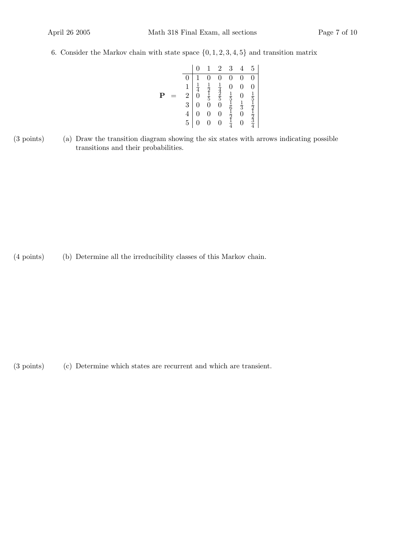6. Consider the Markov chain with state space  $\{0, 1, 2, 3, 4, 5\}$  and transition matrix

|             |                                                  |                |                                       | $\overline{2}$                                                   | 3              |                      | 5                                                                                   |
|-------------|--------------------------------------------------|----------------|---------------------------------------|------------------------------------------------------------------|----------------|----------------------|-------------------------------------------------------------------------------------|
|             | 0                                                |                | $\overline{0}$                        | $\overline{0}$                                                   | $\overline{0}$ | $\overline{0}$       | $\overline{0}$                                                                      |
|             |                                                  | $\frac{1}{4}$  | $\frac{1}{2}$<br>$\frac{1}{5}$<br>$0$ | $\frac{1}{4}$<br>$\frac{4}{5}$<br>$\frac{2}{5}$<br>$\frac{1}{0}$ |                | $\overline{0}$       | $\overline{0}$                                                                      |
| $\mathbf P$ |                                                  |                |                                       |                                                                  |                |                      |                                                                                     |
|             | $\begin{array}{c} 1\\ 2\\ 3\\ 4\\ 5 \end{array}$ | $\overline{0}$ |                                       |                                                                  |                | $0 \\frac{1}{3} \\0$ |                                                                                     |
|             |                                                  | $\overline{0}$ | $\overline{0}$                        | $\overline{0}$                                                   |                |                      |                                                                                     |
|             |                                                  | $\overline{0}$ | $\overline{0}$                        | $\overline{0}$                                                   | 0151617        | $\frac{1}{0}$        | $\frac{1}{5}$ $\frac{1}{2}$ $\frac{1}{2}$ $\frac{1}{2}$ $\frac{1}{3}$ $\frac{3}{4}$ |

(a)(3 points) Draw the transition diagram showing the six states with arrows indicating possible transitions and their probabilities.

(b)(4 points) Determine all the irreducibility classes of this Markov chain.

(c)(3 points) Determine which states are recurrent and which are transient.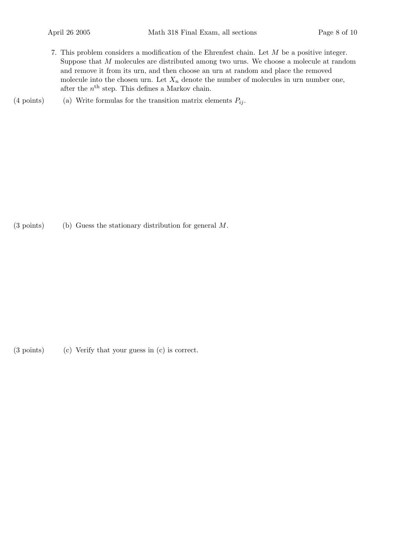- 7. This problem considers a modification of the Ehrenfest chain. Let M be a positive integer. Suppose that M molecules are distributed among two urns. We choose a molecule at random and remove it from its urn, and then choose an urn at random and place the removed molecule into the chosen urn. Let  $X_n$  denote the number of molecules in urn number one, after the  $n<sup>th</sup>$  step. This defines a Markov chain.
- (4 points) (a) Write formulas for the transition matrix elements  $P_{ij}$ .

(3 points) (b) Guess the stationary distribution for general  $M$ .

(3 points) (c) Verify that your guess in (c) is correct.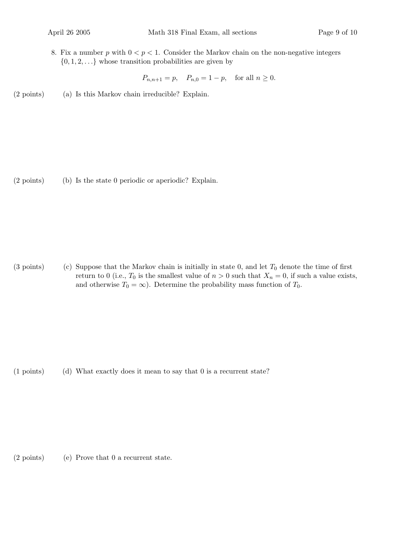8. Fix a number p with  $0 < p < 1$ . Consider the Markov chain on the non-negative integers  $\{0, 1, 2, \ldots\}$  whose transition probabilities are given by

 $P_{n,n+1} = p$ ,  $P_{n,0} = 1 - p$ , for all  $n \ge 0$ .

(2 points) (a) Is this Markov chain irreducible? Explain.

 $(2 \text{ points})$  Is the state 0 periodic or aperiodic? Explain.

(3 points) (c) Suppose that the Markov chain is initially in state 0, and let  $T_0$  denote the time of first return to 0 (i.e.,  $T_0$  is the smallest value of  $n > 0$  such that  $X_n = 0$ , if such a value exists, and otherwise  $T_0 = \infty$ ). Determine the probability mass function of  $T_0$ .

(d)(1 points) What exactly does it mean to say that 0 is a recurrent state?

 $(2 \text{ points})$  (e) Prove that 0 a recurrent state.